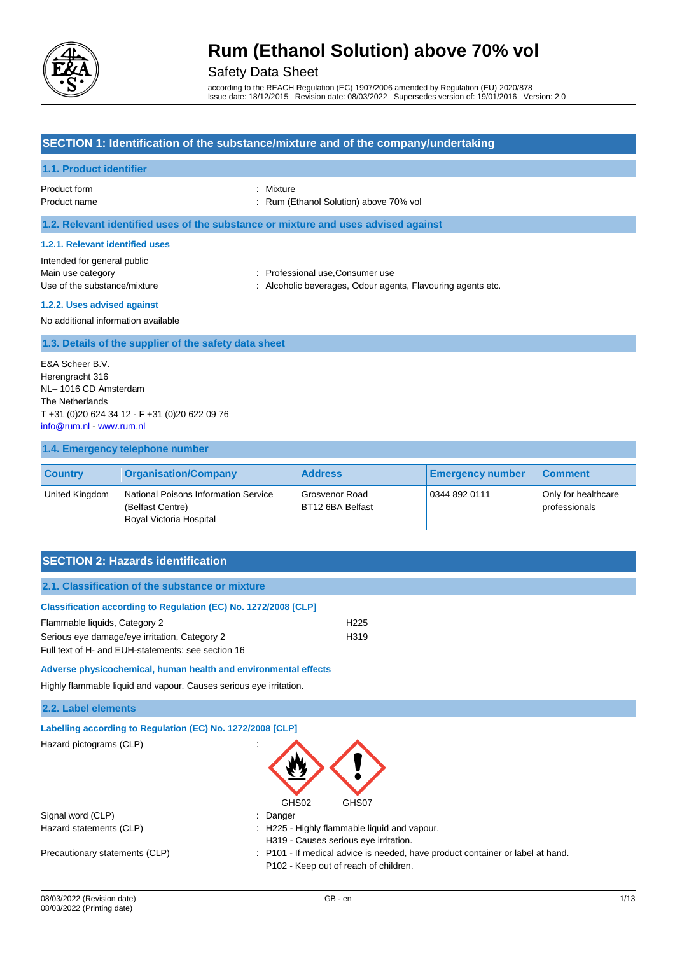

## Safety Data Sheet

according to the REACH Regulation (EC) 1907/2006 amended by Regulation (EU) 2020/878 Issue date: 18/12/2015 Revision date: 08/03/2022 Supersedes version of: 19/01/2016 Version: 2.0

### **SECTION 1: Identification of the substance/mixture and of the company/undertaking**

#### **1.1. Product identifier**

- Product form : Nixture
- Product name **in the set of the COV** control of the Rum (Ethanol Solution) above 70% vol

**1.2. Relevant identified uses of the substance or mixture and uses advised against**

#### **1.2.1. Relevant identified uses**

Intended for general public Main use category **Example 20** Main use category **in the set of the consumer use** consumer use Use of the substance/mixture : Alcoholic beverages, Odour agents, Flavouring agents etc.

- 
- **1.2.2. Uses advised against**

No additional information available

#### **1.3. Details of the supplier of the safety data sheet**

E&A Scheer B.V. Herengracht 316 NL– 1016 CD Amsterdam The Netherlands T +31 (0)20 624 34 12 - F +31 (0)20 622 09 76 [info@rum.nl](mailto:info@rum.nl) - [www.rum.nl](http://www.rum.nl/)

#### **1.4. Emergency telephone number**

| <b>Country</b> | <b>Organisation/Company</b>                                                         | <b>Address</b>                     | <b>Emergency number</b> | <b>Comment</b>                       |
|----------------|-------------------------------------------------------------------------------------|------------------------------------|-------------------------|--------------------------------------|
| United Kingdom | National Poisons Information Service<br>(Belfast Centre)<br>Royal Victoria Hospital | Grosvenor Road<br>BT12 6BA Belfast | 0344 892 0111           | Only for healthcare<br>professionals |

### **SECTION 2: Hazards identification**

### **2.1. Classification of the substance or mixture**

| <b>Classification according to Regulation (EC) No. 1272/2008 [CLP]</b> |                  |
|------------------------------------------------------------------------|------------------|
| Flammable liquids, Category 2                                          | H <sub>225</sub> |

Serious eye damage/eye irritation, Category 2 h319

Full text of H- and EUH-statements: see section 16

#### **Adverse physicochemical, human health and environmental effects**

Highly flammable liquid and vapour. Causes serious eye irritation.

#### **2.2. Label elements**

| Labelling according to Regulation (EC) No. 1272/2008 [CLP] |                                                                                                                         |
|------------------------------------------------------------|-------------------------------------------------------------------------------------------------------------------------|
| Hazard pictograms (CLP)                                    | $\blacksquare$<br>GHS02<br>GHS07                                                                                        |
| Signal word (CLP)                                          | : Danger                                                                                                                |
| Hazard statements (CLP)                                    | : H225 - Highly flammable liquid and vapour.<br>H319 - Causes serious eye irritation.                                   |
| Precautionary statements (CLP)                             | : P101 - If medical advice is needed, have product container or label at hand.<br>P102 - Keep out of reach of children. |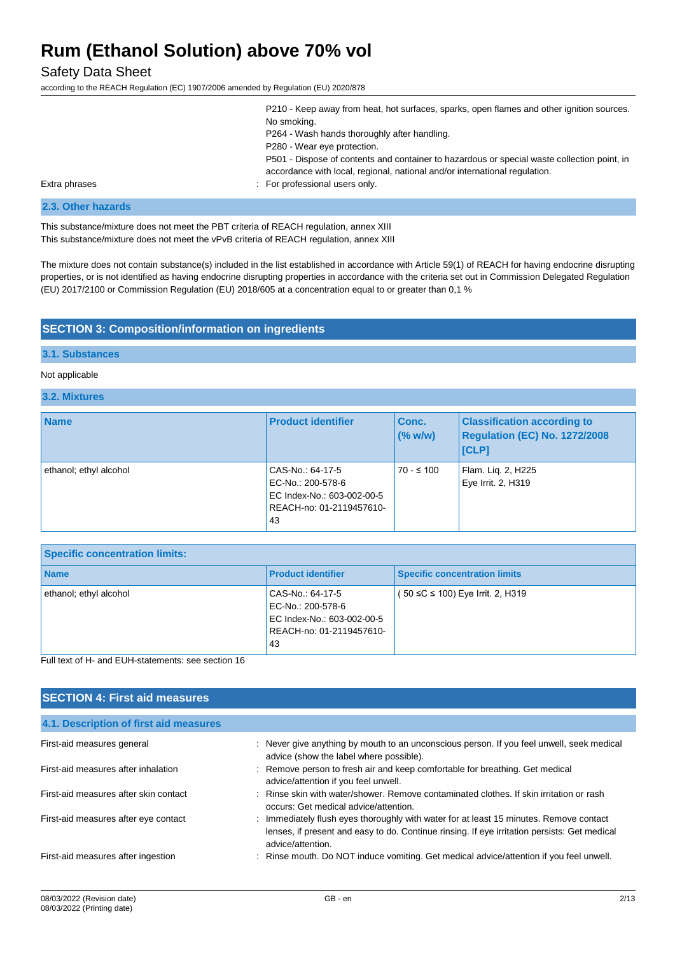### Safety Data Sheet

according to the REACH Regulation (EC) 1907/2006 amended by Regulation (EU) 2020/878

|               | P210 - Keep away from heat, hot surfaces, sparks, open flames and other ignition sources.                                                                                 |
|---------------|---------------------------------------------------------------------------------------------------------------------------------------------------------------------------|
|               | No smoking.                                                                                                                                                               |
|               | P264 - Wash hands thoroughly after handling.                                                                                                                              |
|               | P280 - Wear eye protection.                                                                                                                                               |
|               | P501 - Dispose of contents and container to hazardous or special waste collection point, in<br>accordance with local, regional, national and/or international regulation. |
| Extra phrases | : For professional users only.                                                                                                                                            |

#### **2.3. Other hazards**

This substance/mixture does not meet the PBT criteria of REACH regulation, annex XIII This substance/mixture does not meet the vPvB criteria of REACH regulation, annex XIII

The mixture does not contain substance(s) included in the list established in accordance with Article 59(1) of REACH for having endocrine disrupting properties, or is not identified as having endocrine disrupting properties in accordance with the criteria set out in Commission Delegated Regulation (EU) 2017/2100 or Commission Regulation (EU) 2018/605 at a concentration equal to or greater than 0,1 %

#### **SECTION 3: Composition/information on ingredients**

#### **3.1. Substances**

#### Not applicable

### **3.2. Mixtures**

| <b>Name</b>            | <b>Product identifier</b>                                                                             | Conc.<br>(% w/w) | <b>Classification according to</b><br>Regulation (EC) No. 1272/2008<br><b>ICLP1</b> |
|------------------------|-------------------------------------------------------------------------------------------------------|------------------|-------------------------------------------------------------------------------------|
| ethanol; ethyl alcohol | CAS-No.: 64-17-5<br>EC-No.: 200-578-6<br>EC Index-No.: 603-002-00-5<br>REACH-no: 01-2119457610-<br>43 | $70 - 5100$      | Flam. Lig. 2, H225<br>Eye Irrit. 2, H319                                            |

| <b>Specific concentration limits:</b> |                                                                                                       |                                      |  |
|---------------------------------------|-------------------------------------------------------------------------------------------------------|--------------------------------------|--|
| <b>Name</b>                           | <b>Product identifier</b>                                                                             | <b>Specific concentration limits</b> |  |
| ethanol; ethyl alcohol                | CAS-No.: 64-17-5<br>EC-No.: 200-578-6<br>EC Index-No.: 603-002-00-5<br>REACH-no: 01-2119457610-<br>43 | ( 50 ≤C ≤ 100) Eye Irrit. 2, H319    |  |
|                                       |                                                                                                       |                                      |  |

#### Full text of H- and EUH-statements: see section 16

| <b>SECTION 4: First aid measures</b>   |                                                                                                                                                                                                             |  |  |
|----------------------------------------|-------------------------------------------------------------------------------------------------------------------------------------------------------------------------------------------------------------|--|--|
| 4.1. Description of first aid measures |                                                                                                                                                                                                             |  |  |
| First-aid measures general             | : Never give anything by mouth to an unconscious person. If you feel unwell, seek medical<br>advice (show the label where possible).                                                                        |  |  |
| First-aid measures after inhalation    | : Remove person to fresh air and keep comfortable for breathing. Get medical<br>advice/attention if you feel unwell.                                                                                        |  |  |
| First-aid measures after skin contact  | : Rinse skin with water/shower. Remove contaminated clothes. If skin irritation or rash<br>occurs: Get medical advice/attention.                                                                            |  |  |
| First-aid measures after eye contact   | : Immediately flush eyes thoroughly with water for at least 15 minutes. Remove contact<br>lenses, if present and easy to do. Continue rinsing. If eye irritation persists: Get medical<br>advice/attention. |  |  |
| First-aid measures after ingestion     | : Rinse mouth. Do NOT induce vomiting. Get medical advice/attention if you feel unwell.                                                                                                                     |  |  |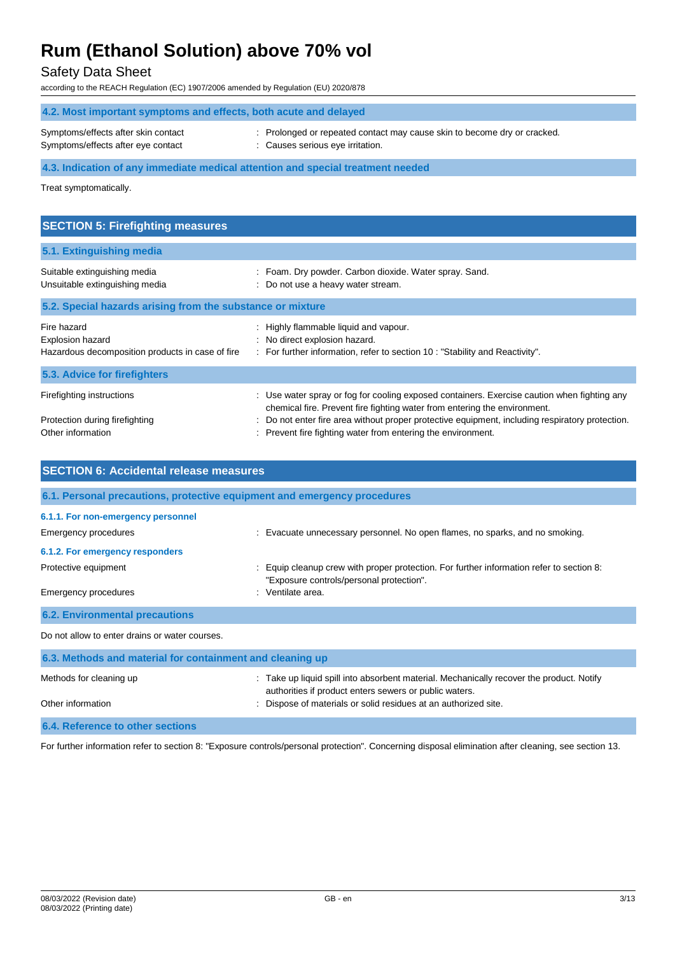## Safety Data Sheet

according to the REACH Regulation (EC) 1907/2006 amended by Regulation (EU) 2020/878

| 4.2. Most important symptoms and effects, both acute and delayed                |                                                                                                              |  |
|---------------------------------------------------------------------------------|--------------------------------------------------------------------------------------------------------------|--|
| Symptoms/effects after skin contact<br>Symptoms/effects after eye contact       | : Prolonged or repeated contact may cause skin to become dry or cracked.<br>: Causes serious eye irritation. |  |
| 4.3. Indication of any immediate medical attention and special treatment needed |                                                                                                              |  |

Treat symptomatically.

| <b>SECTION 5: Firefighting measures</b>                                             |                                                                                                                                                                                                                                                                                                                                             |  |  |
|-------------------------------------------------------------------------------------|---------------------------------------------------------------------------------------------------------------------------------------------------------------------------------------------------------------------------------------------------------------------------------------------------------------------------------------------|--|--|
| 5.1. Extinguishing media                                                            |                                                                                                                                                                                                                                                                                                                                             |  |  |
| Suitable extinguishing media<br>Unsuitable extinguishing media                      | : Foam. Dry powder. Carbon dioxide. Water spray. Sand.<br>: Do not use a heavy water stream.                                                                                                                                                                                                                                                |  |  |
| 5.2. Special hazards arising from the substance or mixture                          |                                                                                                                                                                                                                                                                                                                                             |  |  |
| Fire hazard<br>Explosion hazard<br>Hazardous decomposition products in case of fire | : Highly flammable liquid and vapour.<br>: No direct explosion hazard.<br>: For further information, refer to section 10 : "Stability and Reactivity".                                                                                                                                                                                      |  |  |
| 5.3. Advice for firefighters                                                        |                                                                                                                                                                                                                                                                                                                                             |  |  |
| Firefighting instructions<br>Protection during firefighting<br>Other information    | : Use water spray or fog for cooling exposed containers. Exercise caution when fighting any<br>chemical fire. Prevent fire fighting water from entering the environment.<br>: Do not enter fire area without proper protective equipment, including respiratory protection.<br>: Prevent fire fighting water from entering the environment. |  |  |

| <b>SECTION 6: Accidental release measures</b>                            |                                                                                                                                                  |  |  |
|--------------------------------------------------------------------------|--------------------------------------------------------------------------------------------------------------------------------------------------|--|--|
| 6.1. Personal precautions, protective equipment and emergency procedures |                                                                                                                                                  |  |  |
| 6.1.1. For non-emergency personnel<br>Emergency procedures               | : Evacuate unnecessary personnel. No open flames, no sparks, and no smoking.                                                                     |  |  |
| 6.1.2. For emergency responders                                          |                                                                                                                                                  |  |  |
| Protective equipment                                                     | Equip cleanup crew with proper protection. For further information refer to section 8:<br>"Exposure controls/personal protection".               |  |  |
| Emergency procedures                                                     | : Ventilate area.                                                                                                                                |  |  |
| <b>6.2. Environmental precautions</b>                                    |                                                                                                                                                  |  |  |
| Do not allow to enter drains or water courses.                           |                                                                                                                                                  |  |  |
| 6.3. Methods and material for containment and cleaning up                |                                                                                                                                                  |  |  |
| Methods for cleaning up                                                  | Take up liquid spill into absorbent material. Mechanically recover the product. Notify<br>authorities if product enters sewers or public waters. |  |  |
| Other information                                                        | Dispose of materials or solid residues at an authorized site.                                                                                    |  |  |
| 6.4. Reference to other sections                                         |                                                                                                                                                  |  |  |

For further information refer to section 8: "Exposure controls/personal protection". Concerning disposal elimination after cleaning, see section 13.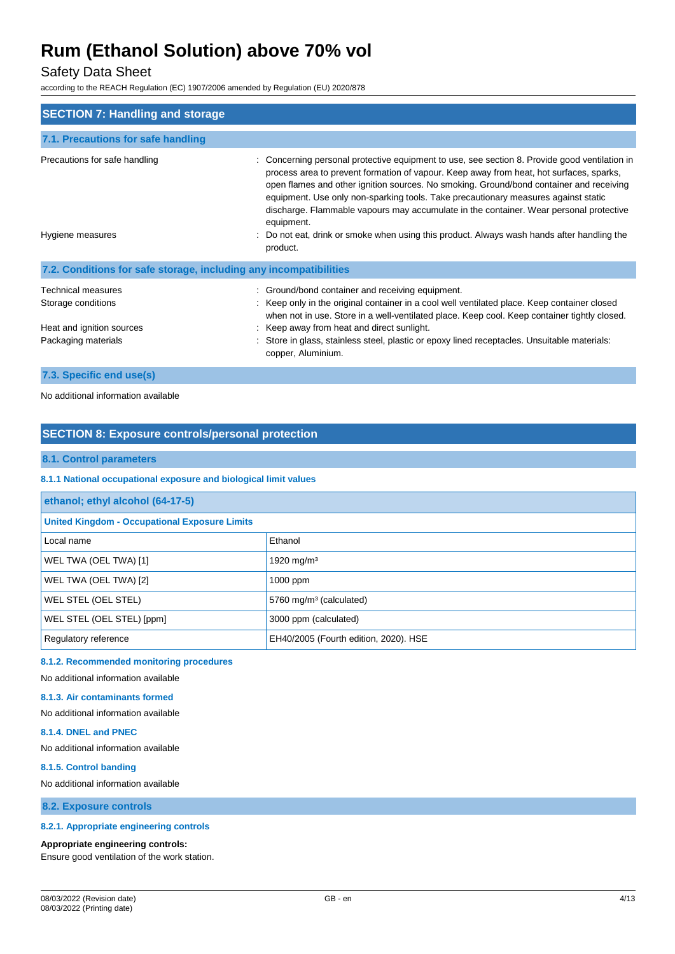## Safety Data Sheet

according to the REACH Regulation (EC) 1907/2006 amended by Regulation (EU) 2020/878

| <b>SECTION 7: Handling and storage</b>                                                       |                                                                                                                                                                                                                                                                                                                                                                                                                                                                                                                                                                                           |  |  |
|----------------------------------------------------------------------------------------------|-------------------------------------------------------------------------------------------------------------------------------------------------------------------------------------------------------------------------------------------------------------------------------------------------------------------------------------------------------------------------------------------------------------------------------------------------------------------------------------------------------------------------------------------------------------------------------------------|--|--|
| 7.1. Precautions for safe handling                                                           |                                                                                                                                                                                                                                                                                                                                                                                                                                                                                                                                                                                           |  |  |
| Precautions for safe handling<br>Hygiene measures                                            | Concerning personal protective equipment to use, see section 8. Provide good ventilation in<br>process area to prevent formation of vapour. Keep away from heat, hot surfaces, sparks,<br>open flames and other ignition sources. No smoking. Ground/bond container and receiving<br>equipment. Use only non-sparking tools. Take precautionary measures against static<br>discharge. Flammable vapours may accumulate in the container. Wear personal protective<br>equipment.<br>: Do not eat, drink or smoke when using this product. Always wash hands after handling the<br>product. |  |  |
| 7.2. Conditions for safe storage, including any incompatibilities                            |                                                                                                                                                                                                                                                                                                                                                                                                                                                                                                                                                                                           |  |  |
| Technical measures<br>Storage conditions<br>Heat and ignition sources<br>Packaging materials | : Ground/bond container and receiving equipment.<br>: Keep only in the original container in a cool well ventilated place. Keep container closed<br>when not in use. Store in a well-ventilated place. Keep cool. Keep container tightly closed.<br>: Keep away from heat and direct sunlight.<br>: Store in glass, stainless steel, plastic or epoxy lined receptacles. Unsuitable materials:<br>copper, Aluminium.                                                                                                                                                                      |  |  |

#### **7.3. Specific end use(s)**

No additional information available

### **SECTION 8: Exposure controls/personal protection**

#### **8.1. Control parameters**

#### **8.1.1 National occupational exposure and biological limit values**

| ethanol; ethyl alcohol (64-17-5)                     |                                       |  |
|------------------------------------------------------|---------------------------------------|--|
| <b>United Kingdom - Occupational Exposure Limits</b> |                                       |  |
| Local name                                           | Ethanol                               |  |
| WEL TWA (OEL TWA) [1]                                | 1920 mg/m <sup>3</sup>                |  |
| WEL TWA (OEL TWA) [2]                                | $1000$ ppm                            |  |
| WEL STEL (OEL STEL)                                  | 5760 mg/m <sup>3</sup> (calculated)   |  |
| WEL STEL (OEL STEL) [ppm]                            | 3000 ppm (calculated)                 |  |
| Regulatory reference                                 | EH40/2005 (Fourth edition, 2020). HSE |  |

#### **8.1.2. Recommended monitoring procedures**

No additional information available

#### **8.1.3. Air contaminants formed**

No additional information available

#### **8.1.4. DNEL and PNEC**

No additional information available

#### **8.1.5. Control banding**

No additional information available

**8.2. Exposure controls**

#### **8.2.1. Appropriate engineering controls**

#### **Appropriate engineering controls:**

Ensure good ventilation of the work station.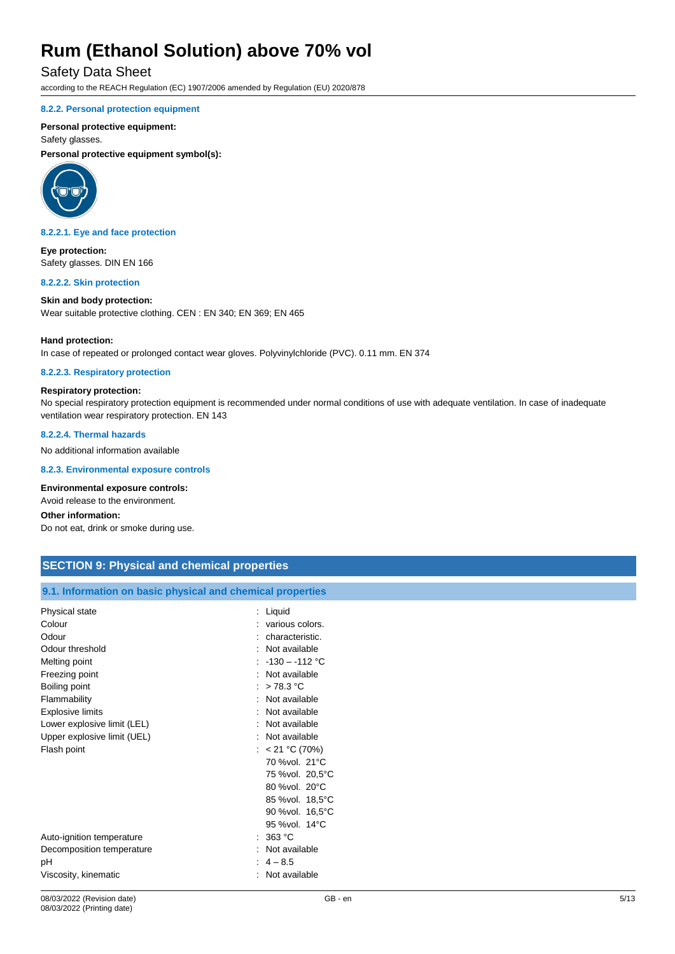### Safety Data Sheet

according to the REACH Regulation (EC) 1907/2006 amended by Regulation (EU) 2020/878

#### **8.2.2. Personal protection equipment**

#### **Personal protective equipment:**

Safety glasses.

**Personal protective equipment symbol(s):**



**8.2.2.1. Eye and face protection**

**Eye protection:** Safety glasses. DIN EN 166

#### **8.2.2.2. Skin protection**

**Skin and body protection:** Wear suitable protective clothing. CEN : EN 340; EN 369; EN 465

#### **Hand protection:**

In case of repeated or prolonged contact wear gloves. Polyvinylchloride (PVC). 0.11 mm. EN 374

#### **8.2.2.3. Respiratory protection**

#### **Respiratory protection:**

No special respiratory protection equipment is recommended under normal conditions of use with adequate ventilation. In case of inadequate ventilation wear respiratory protection. EN 143

**8.2.2.4. Thermal hazards**

No additional information available

**8.2.3. Environmental exposure controls**

#### **Environmental exposure controls:**

Avoid release to the environment.

### **Other information:**

Do not eat, drink or smoke during use.

| <b>SECTION 9: Physical and chemical properties</b>         |                   |  |  |  |
|------------------------------------------------------------|-------------------|--|--|--|
|                                                            |                   |  |  |  |
| 9.1. Information on basic physical and chemical properties |                   |  |  |  |
| Physical state                                             | : Liquid          |  |  |  |
| Colour                                                     | : various colors. |  |  |  |
| Odour                                                      | : characteristic. |  |  |  |
| Odour threshold                                            | : Not available   |  |  |  |
| Melting point                                              | : $-130 - 112$ °C |  |  |  |
| Freezing point                                             | : Not available   |  |  |  |
| Boiling point                                              | : $>78.3$ °C      |  |  |  |
| Flammability                                               | : Not available   |  |  |  |
| <b>Explosive limits</b>                                    | : Not available   |  |  |  |
| Lower explosive limit (LEL)                                | : Not available   |  |  |  |
| Upper explosive limit (UEL)                                | : Not available   |  |  |  |
| Flash point                                                | : $< 21$ °C (70%) |  |  |  |
|                                                            | 70 % vol. 21°C    |  |  |  |
|                                                            | 75 %vol. 20,5°C   |  |  |  |
|                                                            | 80 %vol. 20°C     |  |  |  |
|                                                            | 85 %vol. 18,5°C   |  |  |  |
|                                                            | 90 %vol. 16,5°C   |  |  |  |
|                                                            | 95 % vol. 14 °C   |  |  |  |
| Auto-ignition temperature                                  | : 363 °C          |  |  |  |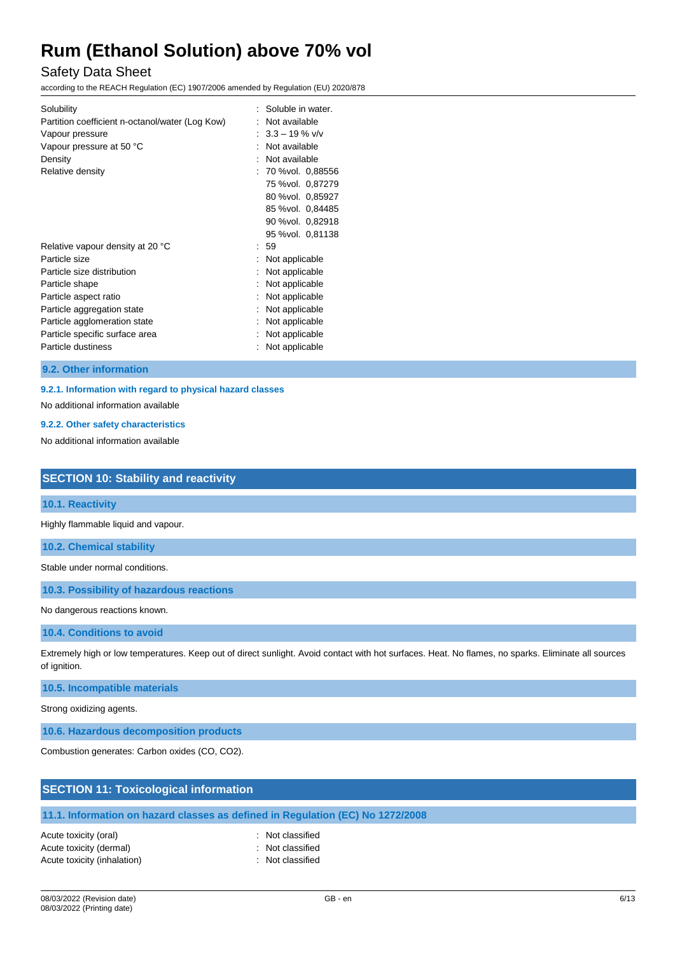## Safety Data Sheet

according to the REACH Regulation (EC) 1907/2006 amended by Regulation (EU) 2020/878

| Solubility<br>Partition coefficient n-octanol/water (Log Kow)<br>Vapour pressure<br>Vapour pressure at 50 °C<br>Density<br>Relative density                                                                                                      | Soluble in water.<br>Not available<br>$: 3.3 - 19 \%$ v/v<br>Not available<br>Not available<br>: 70 %vol. 0,88556<br>75 %vol. 0,87279<br>80 %vol. 0,85927<br>85 %vol. 0,84485<br>90 %vol. 0,82918 |  |
|--------------------------------------------------------------------------------------------------------------------------------------------------------------------------------------------------------------------------------------------------|---------------------------------------------------------------------------------------------------------------------------------------------------------------------------------------------------|--|
| Relative vapour density at 20 °C<br>Particle size<br>Particle size distribution<br>Particle shape<br>Particle aspect ratio<br>Particle aggregation state<br>Particle agglomeration state<br>Particle specific surface area<br>Particle dustiness | 95 % vol. 0,81138<br>59<br>Not applicable<br>Not applicable<br>Not applicable<br>Not applicable<br>Not applicable<br>Not applicable<br>Not applicable<br>Not applicable                           |  |

**9.2. Other information**

### **9.2.1. Information with regard to physical hazard classes**

No additional information available

#### **9.2.2. Other safety characteristics**

No additional information available

#### **SECTION 10: Stability and reactivity**

#### **10.1. Reactivity**

Highly flammable liquid and vapour.

**10.2. Chemical stability**

Stable under normal conditions.

**10.3. Possibility of hazardous reactions**

No dangerous reactions known.

#### **10.4. Conditions to avoid**

Extremely high or low temperatures. Keep out of direct sunlight. Avoid contact with hot surfaces. Heat. No flames, no sparks. Eliminate all sources of ignition.

### **10.5. Incompatible materials**

Strong oxidizing agents.

**10.6. Hazardous decomposition products**

Combustion generates: Carbon oxides (CO, CO2).

| <b>SECTION 11: Toxicological information</b>                                   |
|--------------------------------------------------------------------------------|
|                                                                                |
| 11.1. Information on hazard classes as defined in Regulation (EC) No 1272/2008 |
|                                                                                |

- 
-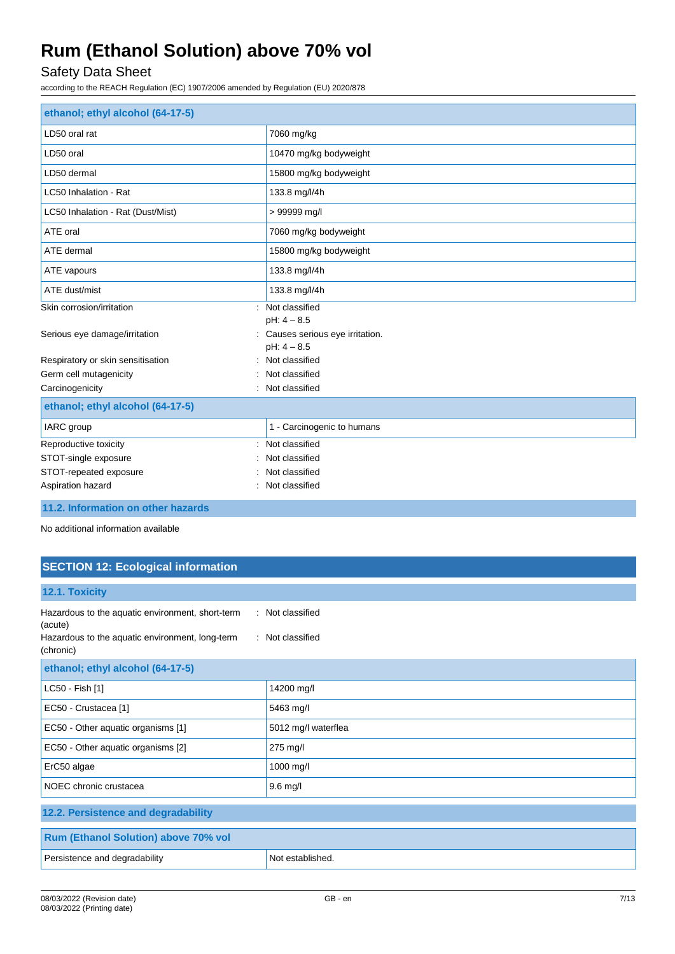## Safety Data Sheet

according to the REACH Regulation (EC) 1907/2006 amended by Regulation (EU) 2020/878

| ethanol; ethyl alcohol (64-17-5)  |                                                                  |  |
|-----------------------------------|------------------------------------------------------------------|--|
| LD50 oral rat                     | 7060 mg/kg                                                       |  |
| LD50 oral                         | 10470 mg/kg bodyweight                                           |  |
| LD50 dermal                       | 15800 mg/kg bodyweight                                           |  |
| LC50 Inhalation - Rat             | 133.8 mg/l/4h                                                    |  |
| LC50 Inhalation - Rat (Dust/Mist) | > 99999 mg/l                                                     |  |
| ATE oral                          | 7060 mg/kg bodyweight                                            |  |
| ATE dermal                        | 15800 mg/kg bodyweight                                           |  |
| ATE vapours                       | 133.8 mg/l/4h                                                    |  |
| ATE dust/mist                     | 133.8 mg/l/4h                                                    |  |
| Skin corrosion/irritation         | : Not classified                                                 |  |
| Serious eye damage/irritation     | $pH: 4 - 8.5$<br>Causes serious eye irritation.<br>$pH: 4 - 8.5$ |  |
| Respiratory or skin sensitisation | Not classified                                                   |  |
| Germ cell mutagenicity            | Not classified                                                   |  |
| Carcinogenicity                   | Not classified                                                   |  |
| ethanol; ethyl alcohol (64-17-5)  |                                                                  |  |
| IARC group                        | 1 - Carcinogenic to humans                                       |  |
| Reproductive toxicity<br>÷        | Not classified                                                   |  |
| STOT-single exposure              | Not classified                                                   |  |
| STOT-repeated exposure            | Not classified                                                   |  |
| Aspiration hazard                 | : Not classified                                                 |  |

**11.2. Information on other hazards**

No additional information available

## **SECTION 12: Ecological information**

| 12.1. Toxicity                                                                                                              |                                      |  |
|-----------------------------------------------------------------------------------------------------------------------------|--------------------------------------|--|
| Hazardous to the aquatic environment, short-term<br>(acute)<br>Hazardous to the aquatic environment, long-term<br>(chronic) | : Not classified<br>: Not classified |  |
| ethanol; ethyl alcohol (64-17-5)                                                                                            |                                      |  |
| LC50 - Fish [1]                                                                                                             | 14200 mg/l                           |  |
| EC50 - Crustacea [1]                                                                                                        | 5463 mg/l                            |  |
| EC50 - Other aquatic organisms [1]                                                                                          | 5012 mg/l waterflea                  |  |
| EC50 - Other aquatic organisms [2]                                                                                          | 275 mg/l                             |  |
| ErC50 algae                                                                                                                 | 1000 mg/l                            |  |
| NOEC chronic crustacea                                                                                                      | $9.6$ mg/l                           |  |
| 12.2. Persistence and degradability                                                                                         |                                      |  |
| <b>Rum (Ethanol Solution) above 70% vol</b>                                                                                 |                                      |  |
| Persistence and degradability                                                                                               | Not established.                     |  |
|                                                                                                                             |                                      |  |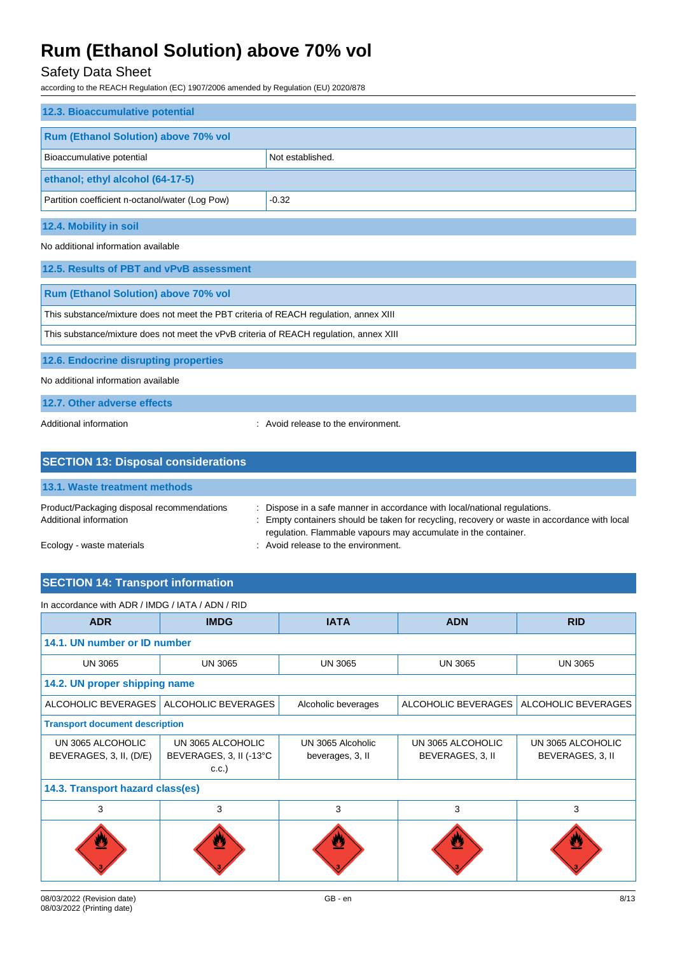## Safety Data Sheet

according to the REACH Regulation (EC) 1907/2006 amended by Regulation (EU) 2020/878

| 12.3. Bioaccumulative potential                                                        |  |  |  |
|----------------------------------------------------------------------------------------|--|--|--|
| <b>Rum (Ethanol Solution) above 70% vol</b>                                            |  |  |  |
| Bioaccumulative potential<br>Not established.                                          |  |  |  |
| ethanol; ethyl alcohol (64-17-5)                                                       |  |  |  |
| Partition coefficient n-octanol/water (Log Pow)<br>$-0.32$                             |  |  |  |
| 12.4. Mobility in soil                                                                 |  |  |  |
| No additional information available                                                    |  |  |  |
| 12.5. Results of PBT and vPvB assessment                                               |  |  |  |
| <b>Rum (Ethanol Solution) above 70% vol</b>                                            |  |  |  |
| This substance/mixture does not meet the PBT criteria of REACH regulation, annex XIII  |  |  |  |
| This substance/mixture does not meet the vPvB criteria of REACH regulation, annex XIII |  |  |  |
| 12.6. Endocrine disrupting properties                                                  |  |  |  |

No additional information available

### **12.7. Other adverse effects**

Additional information **interval information** : Avoid release to the environment.

| <b>SECTION 13: Disposal considerations</b>                           |                                                                                                                                                                                                                                             |  |  |
|----------------------------------------------------------------------|---------------------------------------------------------------------------------------------------------------------------------------------------------------------------------------------------------------------------------------------|--|--|
| <b>13.1. Waste treatment methods</b>                                 |                                                                                                                                                                                                                                             |  |  |
| Product/Packaging disposal recommendations<br>Additional information | : Dispose in a safe manner in accordance with local/national regulations.<br>: Empty containers should be taken for recycling, recovery or waste in accordance with local<br>regulation. Flammable vapours may accumulate in the container. |  |  |
| Ecology - waste materials                                            | : Avoid release to the environment.                                                                                                                                                                                                         |  |  |

## **SECTION 14: Transport information**

| <b>ADR</b>                                   | <b>IMDG</b><br><b>IATA</b><br><b>ADN</b>             |                                       | <b>RID</b>                            |                                       |
|----------------------------------------------|------------------------------------------------------|---------------------------------------|---------------------------------------|---------------------------------------|
| 14.1. UN number or ID number                 |                                                      |                                       |                                       |                                       |
| <b>UN 3065</b>                               | <b>UN 3065</b>                                       | <b>UN 3065</b>                        | <b>UN 3065</b>                        | <b>UN 3065</b>                        |
| 14.2. UN proper shipping name                |                                                      |                                       |                                       |                                       |
| ALCOHOLIC BEVERAGES                          | ALCOHOLIC BEVERAGES                                  | Alcoholic beverages                   | ALCOHOLIC BEVERAGES                   | ALCOHOLIC BEVERAGES                   |
| <b>Transport document description</b>        |                                                      |                                       |                                       |                                       |
| UN 3065 ALCOHOLIC<br>BEVERAGES, 3, II, (D/E) | UN 3065 ALCOHOLIC<br>BEVERAGES, 3, II (-13°C<br>C.C. | UN 3065 Alcoholic<br>beverages, 3, II | UN 3065 ALCOHOLIC<br>BEVERAGES, 3, II | UN 3065 ALCOHOLIC<br>BEVERAGES, 3, II |
| 14.3. Transport hazard class(es)             |                                                      |                                       |                                       |                                       |
| 3                                            | 3                                                    | 3                                     | 3                                     | 3                                     |
| ø                                            | ≝                                                    | 89                                    | ≝                                     |                                       |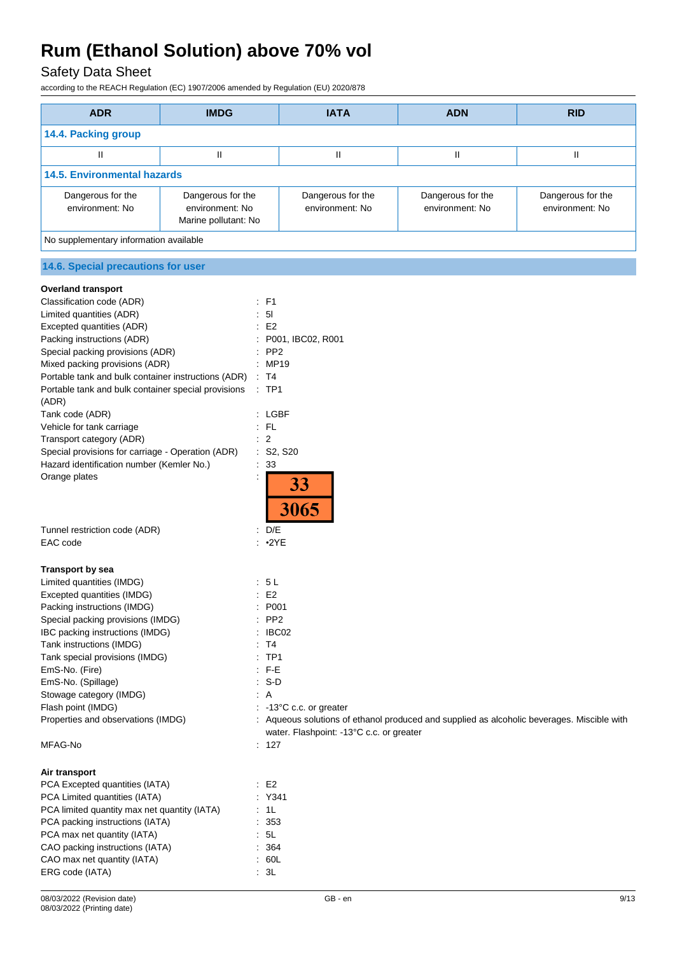## Safety Data Sheet

according to the REACH Regulation (EC) 1907/2006 amended by Regulation (EU) 2020/878

| <b>ADR</b>                                             | <b>IMDG</b>                                                  | <b>IATA</b>                          | <b>ADN</b>                           | <b>RID</b>                           |
|--------------------------------------------------------|--------------------------------------------------------------|--------------------------------------|--------------------------------------|--------------------------------------|
| 14.4. Packing group                                    |                                                              |                                      |                                      |                                      |
| Ш                                                      | Ш                                                            | Ш                                    | Ш                                    | Ш                                    |
| <b>14.5. Environmental hazards</b>                     |                                                              |                                      |                                      |                                      |
| Dangerous for the<br>environment: No                   | Dangerous for the<br>environment: No<br>Marine pollutant: No | Dangerous for the<br>environment: No | Dangerous for the<br>environment: No | Dangerous for the<br>environment: No |
| No supplementary information available                 |                                                              |                                      |                                      |                                      |
| 14.6. Special precautions for user                     |                                                              |                                      |                                      |                                      |
| <b>Overland transport</b><br>Classification code (ADR) | $E$ F1                                                       |                                      |                                      |                                      |

| Ulassiliuatiuri uuut (ADIV)                         | .                                                                                          |
|-----------------------------------------------------|--------------------------------------------------------------------------------------------|
| Limited quantities (ADR)                            | : 51                                                                                       |
| Excepted quantities (ADR)                           | E <sub>2</sub>                                                                             |
| Packing instructions (ADR)                          | P001, IBC02, R001                                                                          |
| Special packing provisions (ADR)                    | PP <sub>2</sub>                                                                            |
| Mixed packing provisions (ADR)                      | : MP19                                                                                     |
| Portable tank and bulk container instructions (ADR) | $\therefore$ T4                                                                            |
| Portable tank and bulk container special provisions | $:$ TP1                                                                                    |
| (ADR)                                               |                                                                                            |
| Tank code (ADR)                                     | : LGBF                                                                                     |
| Vehicle for tank carriage                           | $:$ FL                                                                                     |
| Transport category (ADR)                            | $\overline{2}$                                                                             |
| Special provisions for carriage - Operation (ADR)   | : S2, S20                                                                                  |
| Hazard identification number (Kemler No.)           | $\therefore$ 33                                                                            |
| Orange plates                                       | 33<br>3065                                                                                 |
| Tunnel restriction code (ADR)                       | : D/E                                                                                      |
| EAC code                                            | •2YE                                                                                       |
|                                                     |                                                                                            |
| <b>Transport by sea</b>                             |                                                                                            |
| Limited quantities (IMDG)                           | : 5L                                                                                       |
| Excepted quantities (IMDG)                          | E <sub>2</sub>                                                                             |
| Packing instructions (IMDG)                         | P001                                                                                       |
| Special packing provisions (IMDG)                   | PP <sub>2</sub>                                                                            |
| IBC packing instructions (IMDG)                     | IBC02                                                                                      |
| Tank instructions (IMDG)                            | T4                                                                                         |
| Tank special provisions (IMDG)                      | TP1                                                                                        |
| EmS-No. (Fire)                                      | F-E                                                                                        |
| EmS-No. (Spillage)                                  | S-D                                                                                        |
| Stowage category (IMDG)                             | : A                                                                                        |
| Flash point (IMDG)                                  | $: -13^{\circ}$ C c.c. or greater                                                          |
| Properties and observations (IMDG)                  | : Aqueous solutions of ethanol produced and supplied as alcoholic beverages. Miscible with |
|                                                     | water. Flashpoint: -13°C c.c. or greater                                                   |
| MFAG-No                                             | : 127                                                                                      |
|                                                     |                                                                                            |
| Air transport                                       |                                                                                            |
| PCA Excepted quantities (IATA)                      | E2                                                                                         |
| PCA Limited quantities (IATA)                       | : Y341                                                                                     |
| PCA limited quantity max net quantity (IATA)        | : 1L                                                                                       |
| PCA packing instructions (IATA)                     | : 353                                                                                      |
|                                                     |                                                                                            |

CAO max net quantity (IATA)

PCA max net quantity (IATA) **:** 5L CAO packing instructions (IATA) : 364<br>CAO max net quantity (IATA) : 60L

ERG code (IATA)  $\qquad \qquad : 3L$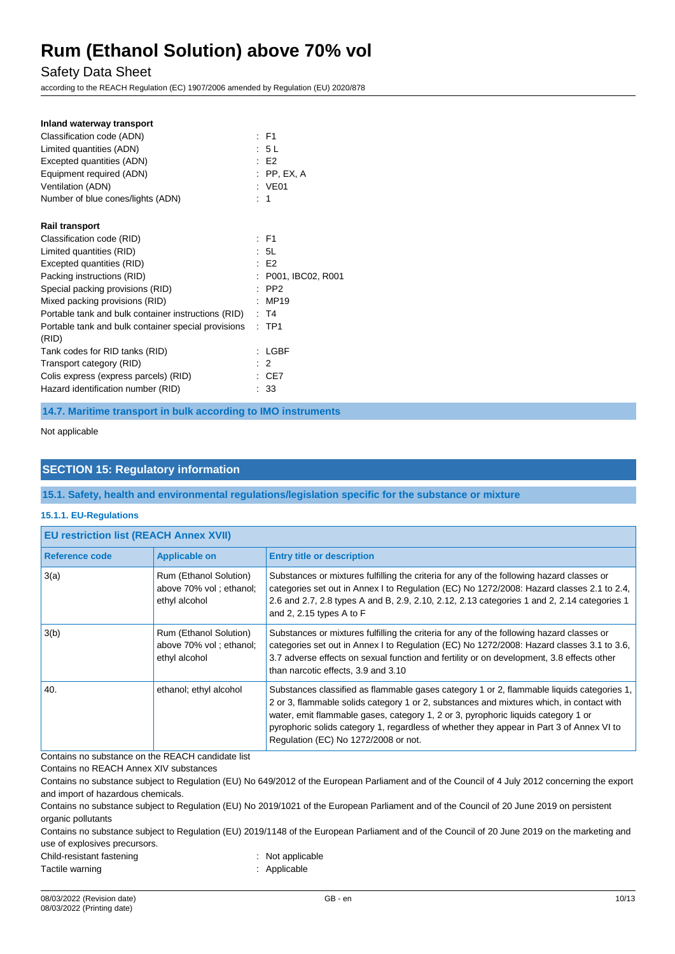Safety Data Sheet

according to the REACH Regulation (EC) 1907/2006 amended by Regulation (EU) 2020/878

| Inland waterway transport                                    |                     |
|--------------------------------------------------------------|---------------------|
| Classification code (ADN)                                    | $E$ F1              |
| Limited quantities (ADN)                                     | : 5L                |
| Excepted quantities (ADN)                                    | E2                  |
| Equipment required (ADN)                                     | $:$ PP, EX, A       |
| Ventilation (ADN)                                            | : VE01              |
| Number of blue cones/lights (ADN)                            | $\therefore$ 1      |
| <b>Rail transport</b>                                        |                     |
| Classification code (RID)                                    | $E$ F1              |
| Limited quantities (RID)                                     | : 5L                |
| Excepted quantities (RID)                                    | E2                  |
| Packing instructions (RID)                                   | : P001, IBC02, R001 |
| Special packing provisions (RID)                             | $:$ PP2             |
| Mixed packing provisions (RID)                               | MP19                |
| Portable tank and bulk container instructions (RID)          | : T4                |
| Portable tank and bulk container special provisions<br>(RID) | $:$ TP1             |
| Tank codes for RID tanks (RID)                               | LGBF                |
| Transport category (RID)                                     | $\therefore$ 2      |
| Colis express (express parcels) (RID)                        | : CE7               |
| Hazard identification number (RID)                           | : 33                |

**14.7. Maritime transport in bulk according to IMO instruments**

Not applicable

### **SECTION 15: Regulatory information**

**15.1. Safety, health and environmental regulations/legislation specific for the substance or mixture**

#### **15.1.1. EU-Regulations**

| <b>EU restriction list (REACH Annex XVII)</b> |                                                                    |                                                                                                                                                                                                                                                                                                                                                                                                                |  |
|-----------------------------------------------|--------------------------------------------------------------------|----------------------------------------------------------------------------------------------------------------------------------------------------------------------------------------------------------------------------------------------------------------------------------------------------------------------------------------------------------------------------------------------------------------|--|
| Reference code                                | <b>Applicable on</b>                                               | <b>Entry title or description</b>                                                                                                                                                                                                                                                                                                                                                                              |  |
| 3(a)                                          | Rum (Ethanol Solution)<br>above 70% vol; ethanol;<br>ethyl alcohol | Substances or mixtures fulfilling the criteria for any of the following hazard classes or<br>categories set out in Annex I to Regulation (EC) No 1272/2008: Hazard classes 2.1 to 2.4,<br>2.6 and 2.7, 2.8 types A and B, 2.9, 2.10, 2.12, 2.13 categories 1 and 2, 2.14 categories 1<br>and 2, 2.15 types A to $F$                                                                                            |  |
| 3(b)                                          | Rum (Ethanol Solution)<br>above 70% vol; ethanol;<br>ethyl alcohol | Substances or mixtures fulfilling the criteria for any of the following hazard classes or<br>categories set out in Annex I to Regulation (EC) No 1272/2008: Hazard classes 3.1 to 3.6,<br>3.7 adverse effects on sexual function and fertility or on development, 3.8 effects other<br>than narcotic effects, 3.9 and 3.10                                                                                     |  |
| 40.                                           | ethanol; ethyl alcohol                                             | Substances classified as flammable gases category 1 or 2, flammable liquids categories 1,<br>2 or 3, flammable solids category 1 or 2, substances and mixtures which, in contact with<br>water, emit flammable gases, category 1, 2 or 3, pyrophoric liquids category 1 or<br>pyrophoric solids category 1, regardless of whether they appear in Part 3 of Annex VI to<br>Regulation (EC) No 1272/2008 or not. |  |

Contains no substance on the REACH candidate list

Contains no REACH Annex XIV substances

Contains no substance subject to Regulation (EU) No 649/2012 of the European Parliament and of the Council of 4 July 2012 concerning the export and import of hazardous chemicals.

Contains no substance subject to Regulation (EU) No 2019/1021 of the European Parliament and of the Council of 20 June 2019 on persistent organic pollutants

Contains no substance subject to Regulation (EU) 2019/1148 of the European Parliament and of the Council of 20 June 2019 on the marketing and use of explosives precursors.

Child-resistant fastening in the state of the state of the Shild-resistant fastening

Tactile warning **in the case of the California** Contraction of the Applicable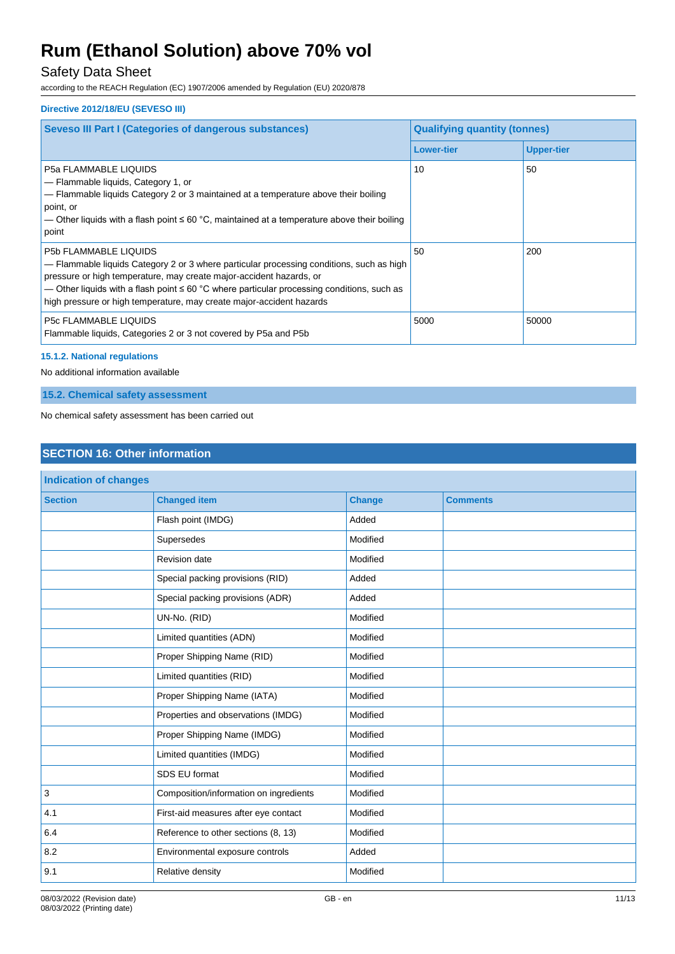## Safety Data Sheet

according to the REACH Regulation (EC) 1907/2006 amended by Regulation (EU) 2020/878

### **Directive 2012/18/EU (SEVESO III)**

| <b>Seveso III Part I (Categories of dangerous substances)</b>                                                                                                                                                                                                                                                                                                              | <b>Qualifying quantity (tonnes)</b> |                   |
|----------------------------------------------------------------------------------------------------------------------------------------------------------------------------------------------------------------------------------------------------------------------------------------------------------------------------------------------------------------------------|-------------------------------------|-------------------|
|                                                                                                                                                                                                                                                                                                                                                                            | <b>Lower-tier</b>                   | <b>Upper-tier</b> |
| <b>P5a FLAMMABLE LIQUIDS</b><br>- Flammable liquids, Category 1, or<br>- Flammable liquids Category 2 or 3 maintained at a temperature above their boiling<br>point, or<br>— Other liquids with a flash point $\leq 60$ °C, maintained at a temperature above their boiling<br>point                                                                                       | 10                                  | 50                |
| <b>P5b FLAMMABLE LIQUIDS</b><br>- Flammable liquids Category 2 or 3 where particular processing conditions, such as high<br>pressure or high temperature, may create major-accident hazards, or<br>— Other liquids with a flash point $\leq 60$ °C where particular processing conditions, such as<br>high pressure or high temperature, may create major-accident hazards | 50                                  | 200               |
| <b>P5c FLAMMABLE LIQUIDS</b><br>Flammable liquids, Categories 2 or 3 not covered by P5a and P5b                                                                                                                                                                                                                                                                            | 5000                                | 50000             |

### **15.1.2. National regulations**

No additional information available

**15.2. Chemical safety assessment**

No chemical safety assessment has been carried out

## **SECTION 16: Other information**

| Indication of changes |                                                    |               |                 |
|-----------------------|----------------------------------------------------|---------------|-----------------|
| <b>Section</b>        | <b>Changed item</b>                                | <b>Change</b> | <b>Comments</b> |
|                       | Flash point (IMDG)                                 | Added         |                 |
|                       | Supersedes                                         | Modified      |                 |
|                       | <b>Revision date</b>                               | Modified      |                 |
|                       | Special packing provisions (RID)                   | Added         |                 |
|                       | Special packing provisions (ADR)                   | Added         |                 |
|                       | UN-No. (RID)                                       | Modified      |                 |
|                       | Limited quantities (ADN)                           | Modified      |                 |
|                       | Proper Shipping Name (RID)                         | Modified      |                 |
|                       | Limited quantities (RID)                           | Modified      |                 |
|                       | Proper Shipping Name (IATA)                        | Modified      |                 |
|                       | Properties and observations (IMDG)                 | Modified      |                 |
|                       | Proper Shipping Name (IMDG)                        | Modified      |                 |
|                       | Limited quantities (IMDG)                          | Modified      |                 |
|                       | SDS EU format                                      | Modified      |                 |
| $\mathbf{3}$          | Composition/information on ingredients<br>Modified |               |                 |
| 4.1                   | First-aid measures after eye contact<br>Modified   |               |                 |
| 6.4                   | Reference to other sections (8, 13)                | Modified      |                 |
| 8.2                   | Environmental exposure controls                    | Added         |                 |
| 9.1                   | Relative density                                   | Modified      |                 |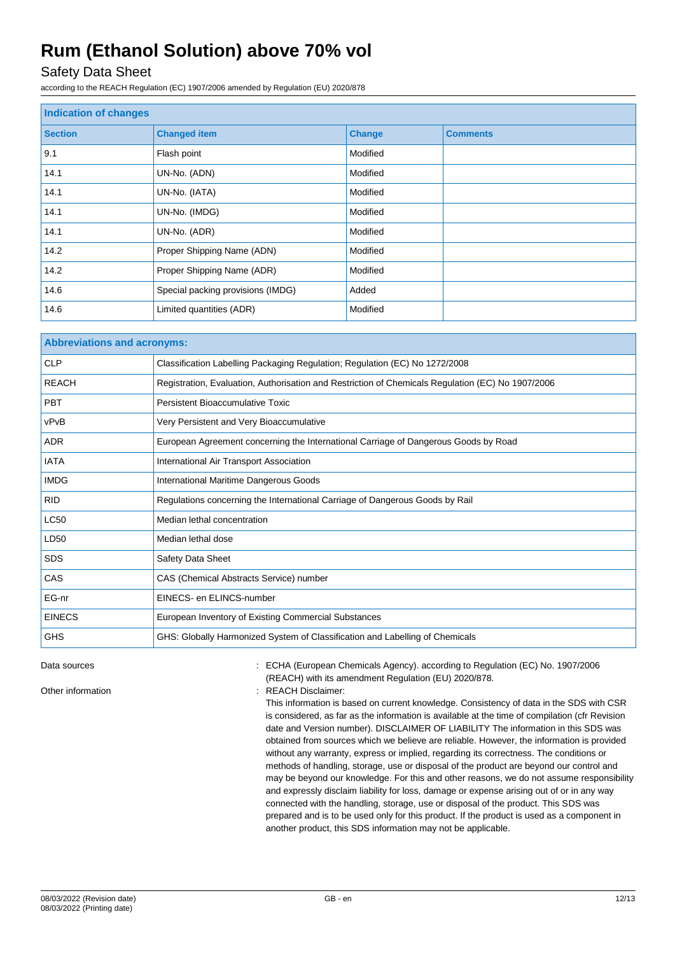## Safety Data Sheet

according to the REACH Regulation (EC) 1907/2006 amended by Regulation (EU) 2020/878

| Indication of changes |                                   |               |                 |
|-----------------------|-----------------------------------|---------------|-----------------|
| <b>Section</b>        | <b>Changed item</b>               | <b>Change</b> | <b>Comments</b> |
| 9.1                   | Flash point                       | Modified      |                 |
| 14.1                  | UN-No. (ADN)                      | Modified      |                 |
| 14.1                  | UN-No. (IATA)                     | Modified      |                 |
| 14.1                  | UN-No. (IMDG)                     | Modified      |                 |
| 14.1                  | UN-No. (ADR)                      | Modified      |                 |
| 14.2                  | Proper Shipping Name (ADN)        | Modified      |                 |
| 14.2                  | Proper Shipping Name (ADR)        | Modified      |                 |
| 14.6                  | Special packing provisions (IMDG) | Added         |                 |
| 14.6                  | Limited quantities (ADR)          | Modified      |                 |

| <b>Abbreviations and acronyms:</b> |                                                                                                   |  |
|------------------------------------|---------------------------------------------------------------------------------------------------|--|
| <b>CLP</b>                         | Classification Labelling Packaging Regulation; Regulation (EC) No 1272/2008                       |  |
| <b>REACH</b>                       | Registration, Evaluation, Authorisation and Restriction of Chemicals Regulation (EC) No 1907/2006 |  |
| <b>PBT</b>                         | Persistent Bioaccumulative Toxic                                                                  |  |
| vPvB                               | Very Persistent and Very Bioaccumulative                                                          |  |
| <b>ADR</b>                         | European Agreement concerning the International Carriage of Dangerous Goods by Road               |  |
| <b>IATA</b>                        | International Air Transport Association                                                           |  |
| <b>IMDG</b>                        | International Maritime Dangerous Goods                                                            |  |
| <b>RID</b>                         | Regulations concerning the International Carriage of Dangerous Goods by Rail                      |  |
| <b>LC50</b>                        | Median lethal concentration                                                                       |  |
| LD50                               | Median lethal dose                                                                                |  |
| <b>SDS</b>                         | Safety Data Sheet                                                                                 |  |
| CAS                                | CAS (Chemical Abstracts Service) number                                                           |  |
| EG-nr                              | EINECS- en ELINCS-number                                                                          |  |
| <b>EINECS</b>                      | European Inventory of Existing Commercial Substances                                              |  |
| <b>GHS</b>                         | GHS: Globally Harmonized System of Classification and Labelling of Chemicals                      |  |

Data sources **1997/2006** : ECHA (European Chemicals Agency). according to Regulation (EC) No. 1907/2006 (REACH) with its amendment Regulation (EU) 2020/878.

Other information **in the contract of the CO** and Contract information in the REACH Disclaimer:

This information is based on current knowledge. Consistency of data in the SDS with CSR is considered, as far as the information is available at the time of compilation (cfr Revision date and Version number). DISCLAIMER OF LIABILITY The information in this SDS was obtained from sources which we believe are reliable. However, the information is provided without any warranty, express or implied, regarding its correctness. The conditions or methods of handling, storage, use or disposal of the product are beyond our control and may be beyond our knowledge. For this and other reasons, we do not assume responsibility and expressly disclaim liability for loss, damage or expense arising out of or in any way connected with the handling, storage, use or disposal of the product. This SDS was prepared and is to be used only for this product. If the product is used as a component in another product, this SDS information may not be applicable.